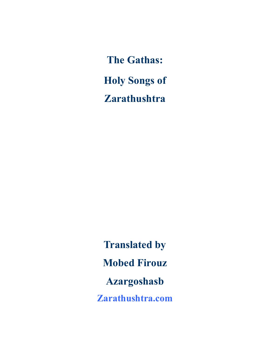The Gathas: Holy Songs of **Zarathushtra** 

Translated by Mobed Firouz Azargoshasb Zarathushtra.com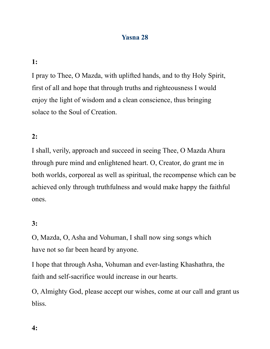# Yasna 28

# 1:

I pray to Thee, O Mazda, with uplifted hands, and to thy Holy Spirit, first of all and hope that through truths and righteousness I would enjoy the light of wisdom and a clean conscience, thus bringing solace to the Soul of Creation.

# 2:

I shall, verily, approach and succeed in seeing Thee, O Mazda Ahura through pure mind and enlightened heart. O, Creator, do grant me in both worlds, corporeal as well as spiritual, the recompense which can be achieved only through truthfulness and would make happy the faithful ones.

## 3:

O, Mazda, O, Asha and Vohuman, I shall now sing songs which have not so far been heard by anyone.

I hope that through Asha, Vohuman and ever-lasting Khashathra, the faith and self-sacrifice would increase in our hearts.

O, Almighty God, please accept our wishes, come at our call and grant us bliss.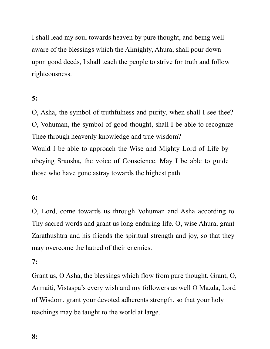I shall lead my soul towards heaven by pure thought, and being well aware of the blessings which the Almighty, Ahura, shall pour down upon good deeds, I shall teach the people to strive for truth and follow righteousness.

# 5:

O, Asha, the symbol of truthfulness and purity, when shall I see thee? O, Vohuman, the symbol of good thought, shall I be able to recognize Thee through heavenly knowledge and true wisdom? Would I be able to approach the Wise and Mighty Lord of Life by obeying Sraosha, the voice of Conscience. May I be able to guide those who have gone astray towards the highest path.

### 6:

O, Lord, come towards us through Vohuman and Asha according to Thy sacred words and grant us long enduring life. O, wise Ahura, grant Zarathushtra and his friends the spiritual strength and joy, so that they may overcome the hatred of their enemies.

#### 7:

Grant us, O Asha, the blessings which flow from pure thought. Grant, O, Armaiti, Vistaspa's every wish and my followers as well O Mazda, Lord of Wisdom, grant your devoted adherents strength, so that your holy teachings may be taught to the world at large.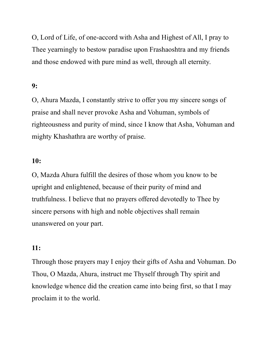O, Lord of Life, of one-accord with Asha and Highest of All, I pray to Thee yearningly to bestow paradise upon Frashaoshtra and my friends and those endowed with pure mind as well, through all eternity.

## 9:

O, Ahura Mazda, I constantly strive to offer you my sincere songs of praise and shall never provoke Asha and Vohuman, symbols of righteousness and purity of mind, since I know that Asha, Vohuman and mighty Khashathra are worthy of praise.

## 10:

O, Mazda Ahura fulfill the desires of those whom you know to be upright and enlightened, because of their purity of mind and truthfulness. I believe that no prayers offered devotedly to Thee by sincere persons with high and noble objectives shall remain unanswered on your part.

### 11:

Through those prayers may I enjoy their gifts of Asha and Vohuman. Do Thou, O Mazda, Ahura, instruct me Thyself through Thy spirit and knowledge whence did the creation came into being first, so that I may proclaim it to the world.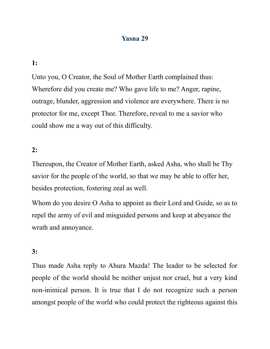## Yasna 29

### 1:

Unto you, O Creator, the Soul of Mother Earth complained thus: Wherefore did you create me? Who gave life to me? Anger, rapine, outrage, blunder, aggression and violence are everywhere. There is no protector for me, except Thee. Therefore, reveal to me a savior who could show me a way out of this difficulty.

### 2:

Thereupon, the Creator of Mother Earth, asked Asha, who shall be Thy savior for the people of the world, so that we may be able to offer her, besides protection, fostering zeal as well.

Whom do you desire O Asha to appoint as their Lord and Guide, so as to repel the army of evil and misguided persons and keep at abeyance the wrath and annoyance.

### 3:

Thus made Asha reply to Ahura Mazda! The leader to be selected for people of the world should be neither unjust nor cruel, but a very kind non-inimical person. It is true that I do not recognize such a person amongst people of the world who could protect the righteous against this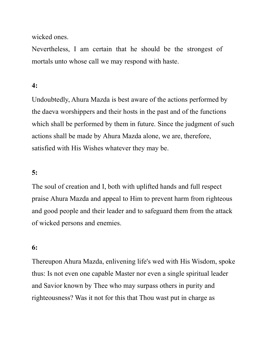wicked ones.

Nevertheless, I am certain that he should be the strongest of mortals unto whose call we may respond with haste.

# 4:

Undoubtedly, Ahura Mazda is best aware of the actions performed by the daeva worshippers and their hosts in the past and of the functions which shall be performed by them in future. Since the judgment of such actions shall be made by Ahura Mazda alone, we are, therefore, satisfied with His Wishes whatever they may be.

# 5:

The soul of creation and I, both with uplifted hands and full respect praise Ahura Mazda and appeal to Him to prevent harm from righteous and good people and their leader and to safeguard them from the attack of wicked persons and enemies.

### 6:

Thereupon Ahura Mazda, enlivening life's wed with His Wisdom, spoke thus: Is not even one capable Master nor even a single spiritual leader and Savior known by Thee who may surpass others in purity and righteousness? Was it not for this that Thou wast put in charge as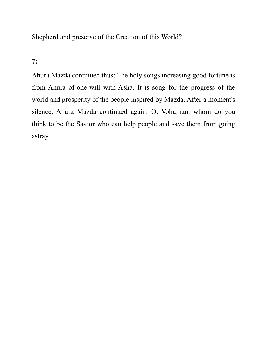Shepherd and preserve of the Creation of this World?

# 7:

Ahura Mazda continued thus: The holy songs increasing good fortune is from Ahura of-one-will with Asha. It is song for the progress of the world and prosperity of the people inspired by Mazda. After a moment's silence, Ahura Mazda continued again: O, Vohuman, whom do you think to be the Savior who can help people and save them from going astray.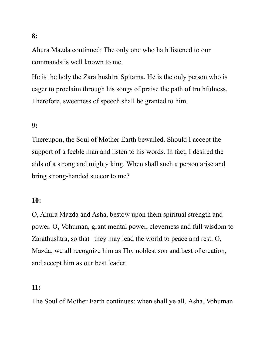Ahura Mazda continued: The only one who hath listened to our commands is well known to me.

He is the holy the Zarathushtra Spitama. He is the only person who is eager to proclaim through his songs of praise the path of truthfulness. Therefore, sweetness of speech shall be granted to him.

# 9:

Thereupon, the Soul of Mother Earth bewailed. Should I accept the support of a feeble man and listen to his words. In fact, I desired the aids of a strong and mighty king. When shall such a person arise and bring strong-handed succor to me?

## 10:

O, Ahura Mazda and Asha, bestow upon them spiritual strength and power. O, Vohuman, grant mental power, cleverness and full wisdom to Zarathushtra, so that they may lead the world to peace and rest. O, Mazda, we all recognize him as Thy noblest son and best of creation, and accept him as our best leader.

#### 11:

The Soul of Mother Earth continues: when shall ye all, Asha, Vohuman

#### 8: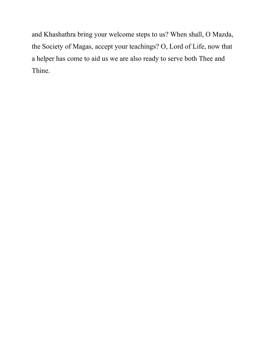and Khashathra bring your welcome steps to us? When shall, O Mazda, the Society of Magas, accept your teachings? O, Lord of Life, now that a helper has come to aid us we are also ready to serve both Thee and Thine.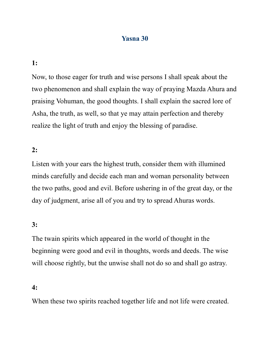# Yasna 30

#### 1:

Now, to those eager for truth and wise persons I shall speak about the two phenomenon and shall explain the way of praying Mazda Ahura and praising Vohuman, the good thoughts. I shall explain the sacred lore of Asha, the truth, as well, so that ye may attain perfection and thereby realize the light of truth and enjoy the blessing of paradise.

### 2:

Listen with your ears the highest truth, consider them with illumined minds carefully and decide each man and woman personality between the two paths, good and evil. Before ushering in of the great day, or the day of judgment, arise all of you and try to spread Ahuras words.

### 3:

The twain spirits which appeared in the world of thought in the beginning were good and evil in thoughts, words and deeds. The wise will choose rightly, but the unwise shall not do so and shall go astray.

### 4:

When these two spirits reached together life and not life were created.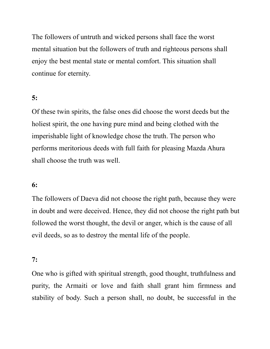The followers of untruth and wicked persons shall face the worst mental situation but the followers of truth and righteous persons shall enjoy the best mental state or mental comfort. This situation shall continue for eternity.

# 5:

Of these twin spirits, the false ones did choose the worst deeds but the holiest spirit, the one having pure mind and being clothed with the imperishable light of knowledge chose the truth. The person who performs meritorious deeds with full faith for pleasing Mazda Ahura shall choose the truth was well.

## 6:

The followers of Daeva did not choose the right path, because they were in doubt and were deceived. Hence, they did not choose the right path but followed the worst thought, the devil or anger, which is the cause of all evil deeds, so as to destroy the mental life of the people.

### 7:

One who is gifted with spiritual strength, good thought, truthfulness and purity, the Armaiti or love and faith shall grant him firmness and stability of body. Such a person shall, no doubt, be successful in the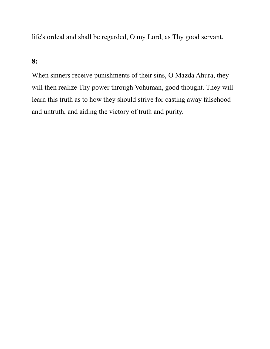life's ordeal and shall be regarded, O my Lord, as Thy good servant.

## 8:

When sinners receive punishments of their sins, O Mazda Ahura, they will then realize Thy power through Vohuman, good thought. They will learn this truth as to how they should strive for casting away falsehood and untruth, and aiding the victory of truth and purity.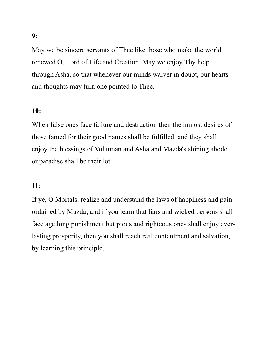May we be sincere servants of Thee like those who make the world renewed O, Lord of Life and Creation. May we enjoy Thy help through Asha, so that whenever our minds waiver in doubt, our hearts and thoughts may turn one pointed to Thee.

# 10:

When false ones face failure and destruction then the inmost desires of those famed for their good names shall be fulfilled, and they shall enjoy the blessings of Vohuman and Asha and Mazda's shining abode or paradise shall be their lot.

### 11:

If ye, O Mortals, realize and understand the laws of happiness and pain ordained by Mazda; and if you learn that liars and wicked persons shall face age long punishment but pious and righteous ones shall enjoy everlasting prosperity, then you shall reach real contentment and salvation, by learning this principle.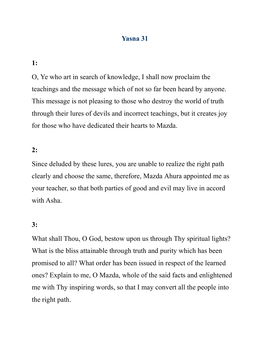# Yasna 31

1:

O, Ye who art in search of knowledge, I shall now proclaim the teachings and the message which of not so far been heard by anyone. This message is not pleasing to those who destroy the world of truth through their lures of devils and incorrect teachings, but it creates joy for those who have dedicated their hearts to Mazda.

2:

Since deluded by these lures, you are unable to realize the right path clearly and choose the same, therefore, Mazda Ahura appointed me as your teacher, so that both parties of good and evil may live in accord with Asha.

### 3:

What shall Thou, O God, bestow upon us through Thy spiritual lights? What is the bliss attainable through truth and purity which has been promised to all? What order has been issued in respect of the learned ones? Explain to me, O Mazda, whole of the said facts and enlightened me with Thy inspiring words, so that I may convert all the people into the right path.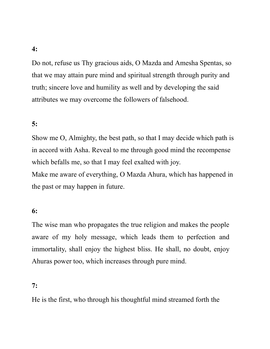Do not, refuse us Thy gracious aids, O Mazda and Amesha Spentas, so that we may attain pure mind and spiritual strength through purity and truth; sincere love and humility as well and by developing the said attributes we may overcome the followers of falsehood.

# 5:

Show me O, Almighty, the best path, so that I may decide which path is in accord with Asha. Reveal to me through good mind the recompense which befalls me, so that I may feel exalted with joy. Make me aware of everything, O Mazda Ahura, which has happened in the past or may happen in future.

### 6:

The wise man who propagates the true religion and makes the people aware of my holy message, which leads them to perfection and immortality, shall enjoy the highest bliss. He shall, no doubt, enjoy Ahuras power too, which increases through pure mind.

### 7:

He is the first, who through his thoughtful mind streamed forth the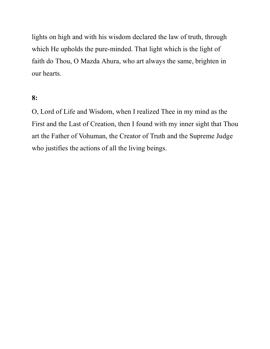lights on high and with his wisdom declared the law of truth, through which He upholds the pure-minded. That light which is the light of faith do Thou, O Mazda Ahura, who art always the same, brighten in our hearts.

# 8:

O, Lord of Life and Wisdom, when I realized Thee in my mind as the First and the Last of Creation, then I found with my inner sight that Thou art the Father of Vohuman, the Creator of Truth and the Supreme Judge who justifies the actions of all the living beings.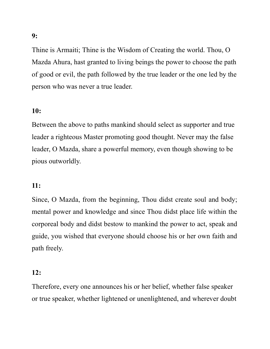Thine is Armaiti; Thine is the Wisdom of Creating the world. Thou, O Mazda Ahura, hast granted to living beings the power to choose the path of good or evil, the path followed by the true leader or the one led by the person who was never a true leader.

## 10:

Between the above to paths mankind should select as supporter and true leader a righteous Master promoting good thought. Never may the false leader, O Mazda, share a powerful memory, even though showing to be pious outworldly.

### 11:

Since, O Mazda, from the beginning, Thou didst create soul and body; mental power and knowledge and since Thou didst place life within the corporeal body and didst bestow to mankind the power to act, speak and guide, you wished that everyone should choose his or her own faith and path freely.

### 12:

Therefore, every one announces his or her belief, whether false speaker or true speaker, whether lightened or unenlightened, and wherever doubt

### 9: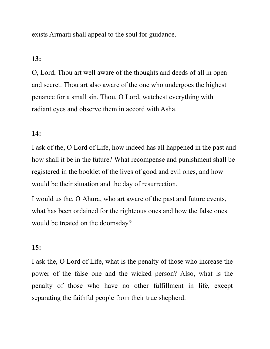exists Armaiti shall appeal to the soul for guidance.

## 13:

O, Lord, Thou art well aware of the thoughts and deeds of all in open and secret. Thou art also aware of the one who undergoes the highest penance for a small sin. Thou, O Lord, watchest everything with radiant eyes and observe them in accord with Asha.

### 14:

I ask of the, O Lord of Life, how indeed has all happened in the past and how shall it be in the future? What recompense and punishment shall be registered in the booklet of the lives of good and evil ones, and how would be their situation and the day of resurrection.

I would us the, O Ahura, who art aware of the past and future events, what has been ordained for the righteous ones and how the false ones would be treated on the doomsday?

### 15:

I ask the, O Lord of Life, what is the penalty of those who increase the power of the false one and the wicked person? Also, what is the penalty of those who have no other fulfillment in life, except separating the faithful people from their true shepherd.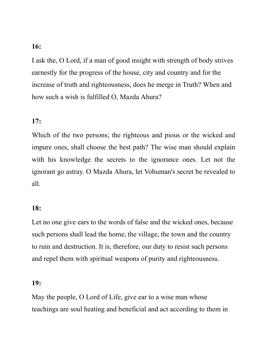### 16:

I ask the, O Lord, if a man of good insight with strength of body strives earnestly for the progress of the house, city and country and for the increase of truth and righteousness, does he merge in Truth? When and how such a wish is fulfilled O, Mazda Ahura?

### 17:

Which of the two persons; the righteous and pious or the wicked and impure ones, shall choose the best path? The wise man should explain with his knowledge the secrets to the ignorance ones. Let not the ignorant go astray. O Mazda Ahura, let Vohuman's secret be revealed to all.

### 18:

Let no one give ears to the words of false and the wicked ones, because such persons shall lead the home, the village, the town and the country to ruin and destruction. It is, therefore, our duty to resist such persons and repel them with spiritual weapons of purity and righteousness.

### 19:

May the people, O Lord of Life, give ear to a wise man whose teachings are soul heating and beneficial and act according to them in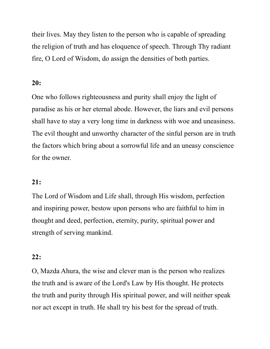their lives. May they listen to the person who is capable of spreading the religion of truth and has eloquence of speech. Through Thy radiant fire, O Lord of Wisdom, do assign the densities of both parties.

# 20:

One who follows righteousness and purity shall enjoy the light of paradise as his or her eternal abode. However, the liars and evil persons shall have to stay a very long time in darkness with woe and uneasiness. The evil thought and unworthy character of the sinful person are in truth the factors which bring about a sorrowful life and an uneasy conscience for the owner.

## 21:

The Lord of Wisdom and Life shall, through His wisdom, perfection and inspiring power, bestow upon persons who are faithful to him in thought and deed, perfection, eternity, purity, spiritual power and strength of serving mankind.

## 22:

O, Mazda Ahura, the wise and clever man is the person who realizes the truth and is aware of the Lord's Law by His thought. He protects the truth and purity through His spiritual power, and will neither speak nor act except in truth. He shall try his best for the spread of truth.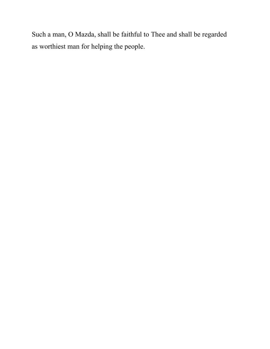Such a man, O Mazda, shall be faithful to Thee and shall be regarded as worthiest man for helping the people.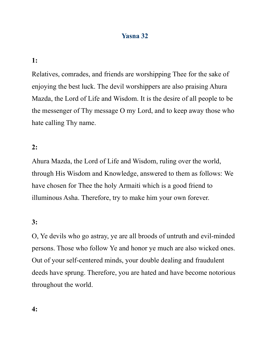# Yasna 32

# 1:

Relatives, comrades, and friends are worshipping Thee for the sake of enjoying the best luck. The devil worshippers are also praising Ahura Mazda, the Lord of Life and Wisdom. It is the desire of all people to be the messenger of Thy message O my Lord, and to keep away those who hate calling Thy name.

### 2:

Ahura Mazda, the Lord of Life and Wisdom, ruling over the world, through His Wisdom and Knowledge, answered to them as follows: We have chosen for Thee the holy Armaiti which is a good friend to illuminous Asha. Therefore, try to make him your own forever.

### 3:

O, Ye devils who go astray, ye are all broods of untruth and evil-minded persons. Those who follow Ye and honor ye much are also wicked ones. Out of your self-centered minds, your double dealing and fraudulent deeds have sprung. Therefore, you are hated and have become notorious throughout the world.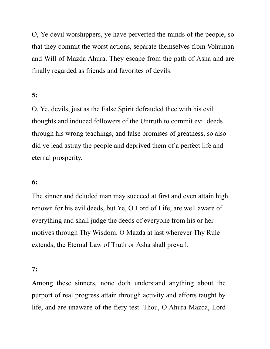O, Ye devil worshippers, ye have perverted the minds of the people, so that they commit the worst actions, separate themselves from Vohuman and Will of Mazda Ahura. They escape from the path of Asha and are finally regarded as friends and favorites of devils.

# 5:

O, Ye, devils, just as the False Spirit defrauded thee with his evil thoughts and induced followers of the Untruth to commit evil deeds through his wrong teachings, and false promises of greatness, so also did ye lead astray the people and deprived them of a perfect life and eternal prosperity.

## 6:

The sinner and deluded man may succeed at first and even attain high renown for his evil deeds, but Ye, O Lord of Life, are well aware of everything and shall judge the deeds of everyone from his or her motives through Thy Wisdom. O Mazda at last wherever Thy Rule extends, the Eternal Law of Truth or Asha shall prevail.

#### 7:

Among these sinners, none doth understand anything about the purport of real progress attain through activity and efforts taught by life, and are unaware of the fiery test. Thou, O Ahura Mazda, Lord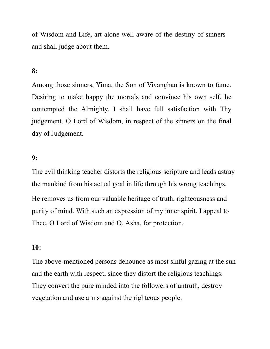of Wisdom and Life, art alone well aware of the destiny of sinners and shall judge about them.

# 8:

Among those sinners, Yima, the Son of Vivanghan is known to fame. Desiring to make happy the mortals and convince his own self, he contempted the Almighty. I shall have full satisfaction with Thy judgement, O Lord of Wisdom, in respect of the sinners on the final day of Judgement.

#### 9:

The evil thinking teacher distorts the religious scripture and leads astray the mankind from his actual goal in life through his wrong teachings. He removes us from our valuable heritage of truth, righteousness and purity of mind. With such an expression of my inner spirit, I appeal to Thee, O Lord of Wisdom and O, Asha, for protection.

#### 10:

The above-mentioned persons denounce as most sinful gazing at the sun and the earth with respect, since they distort the religious teachings. They convert the pure minded into the followers of untruth, destroy vegetation and use arms against the righteous people.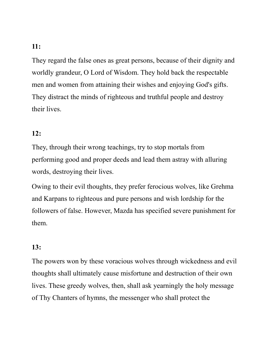## 11:

They regard the false ones as great persons, because of their dignity and worldly grandeur, O Lord of Wisdom. They hold back the respectable men and women from attaining their wishes and enjoying God's gifts. They distract the minds of righteous and truthful people and destroy their lives.

### 12:

They, through their wrong teachings, try to stop mortals from performing good and proper deeds and lead them astray with alluring words, destroying their lives.

Owing to their evil thoughts, they prefer ferocious wolves, like Grehma and Karpans to righteous and pure persons and wish lordship for the followers of false. However, Mazda has specified severe punishment for them.

## 13:

The powers won by these voracious wolves through wickedness and evil thoughts shall ultimately cause misfortune and destruction of their own lives. These greedy wolves, then, shall ask yearningly the holy message of Thy Chanters of hymns, the messenger who shall protect the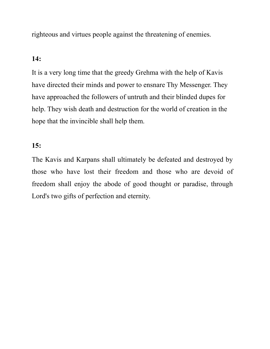righteous and virtues people against the threatening of enemies.

## 14:

It is a very long time that the greedy Grehma with the help of Kavis have directed their minds and power to ensnare Thy Messenger. They have approached the followers of untruth and their blinded dupes for help. They wish death and destruction for the world of creation in the hope that the invincible shall help them.

## 15:

The Kavis and Karpans shall ultimately be defeated and destroyed by those who have lost their freedom and those who are devoid of freedom shall enjoy the abode of good thought or paradise, through Lord's two gifts of perfection and eternity.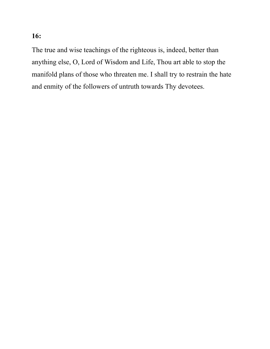# 16:

The true and wise teachings of the righteous is, indeed, better than anything else, O, Lord of Wisdom and Life, Thou art able to stop the manifold plans of those who threaten me. I shall try to restrain the hate and enmity of the followers of untruth towards Thy devotees.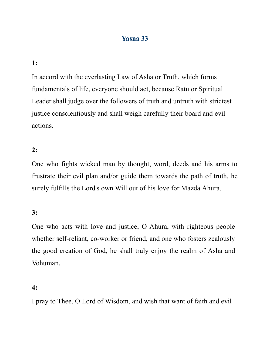# Yasna 33

## 1:

In accord with the everlasting Law of Asha or Truth, which forms fundamentals of life, everyone should act, because Ratu or Spiritual Leader shall judge over the followers of truth and untruth with strictest justice conscientiously and shall weigh carefully their board and evil actions.

### 2:

One who fights wicked man by thought, word, deeds and his arms to frustrate their evil plan and/or guide them towards the path of truth, he surely fulfills the Lord's own Will out of his love for Mazda Ahura.

### 3:

One who acts with love and justice, O Ahura, with righteous people whether self-reliant, co-worker or friend, and one who fosters zealously the good creation of God, he shall truly enjoy the realm of Asha and Vohuman.

## 4:

I pray to Thee, O Lord of Wisdom, and wish that want of faith and evil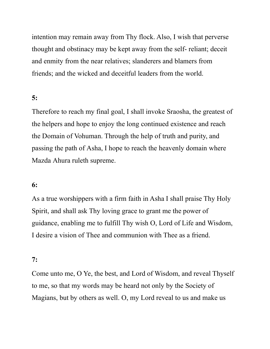intention may remain away from Thy flock. Also, I wish that perverse thought and obstinacy may be kept away from the self- reliant; deceit and enmity from the near relatives; slanderers and blamers from friends; and the wicked and deceitful leaders from the world.

## 5:

Therefore to reach my final goal, I shall invoke Sraosha, the greatest of the helpers and hope to enjoy the long continued existence and reach the Domain of Vohuman. Through the help of truth and purity, and passing the path of Asha, I hope to reach the heavenly domain where Mazda Ahura ruleth supreme.

## 6:

As a true worshippers with a firm faith in Asha I shall praise Thy Holy Spirit, and shall ask Thy loving grace to grant me the power of guidance, enabling me to fulfill Thy wish O, Lord of Life and Wisdom, I desire a vision of Thee and communion with Thee as a friend.

#### 7:

Come unto me, O Ye, the best, and Lord of Wisdom, and reveal Thyself to me, so that my words may be heard not only by the Society of Magians, but by others as well. O, my Lord reveal to us and make us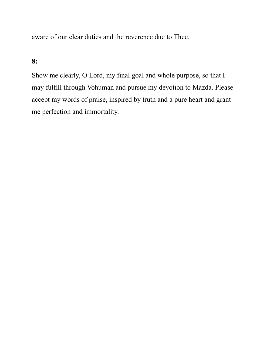aware of our clear duties and the reverence due to Thee.

# 8:

Show me clearly, O Lord, my final goal and whole purpose, so that I may fulfill through Vohuman and pursue my devotion to Mazda. Please accept my words of praise, inspired by truth and a pure heart and grant me perfection and immortality.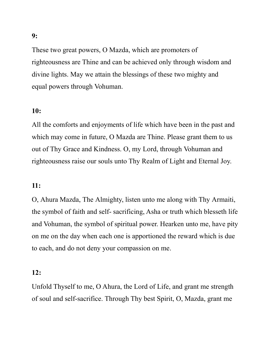These two great powers, O Mazda, which are promoters of righteousness are Thine and can be achieved only through wisdom and divine lights. May we attain the blessings of these two mighty and equal powers through Vohuman.

## 10:

All the comforts and enjoyments of life which have been in the past and which may come in future, O Mazda are Thine. Please grant them to us out of Thy Grace and Kindness. O, my Lord, through Vohuman and righteousness raise our souls unto Thy Realm of Light and Eternal Joy.

## 11:

O, Ahura Mazda, The Almighty, listen unto me along with Thy Armaiti, the symbol of faith and self- sacrificing, Asha or truth which blesseth life and Vohuman, the symbol of spiritual power. Hearken unto me, have pity on me on the day when each one is apportioned the reward which is due to each, and do not deny your compassion on me.

### 12:

Unfold Thyself to me, O Ahura, the Lord of Life, and grant me strength of soul and self-sacrifice. Through Thy best Spirit, O, Mazda, grant me

### 9: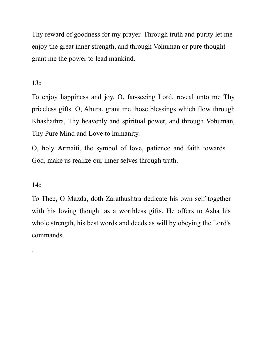Thy reward of goodness for my prayer. Through truth and purity let me enjoy the great inner strength, and through Vohuman or pure thought grant me the power to lead mankind.

# 13:

To enjoy happiness and joy, O, far-seeing Lord, reveal unto me Thy priceless gifts. O, Ahura, grant me those blessings which flow through Khashathra, Thy heavenly and spiritual power, and through Vohuman, Thy Pure Mind and Love to humanity.

O, holy Armaiti, the symbol of love, patience and faith towards God, make us realize our inner selves through truth.

# 14:

.

To Thee, O Mazda, doth Zarathushtra dedicate his own self together with his loving thought as a worthless gifts. He offers to Asha his whole strength, his best words and deeds as will by obeying the Lord's commands.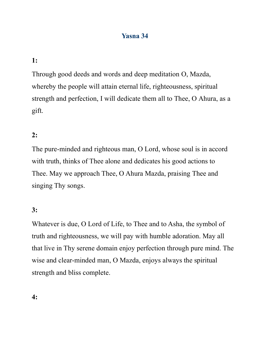# Yasna 34

# 1:

Through good deeds and words and deep meditation O, Mazda, whereby the people will attain eternal life, righteousness, spiritual strength and perfection, I will dedicate them all to Thee, O Ahura, as a gift.

# 2:

The pure-minded and righteous man, O Lord, whose soul is in accord with truth, thinks of Thee alone and dedicates his good actions to Thee. May we approach Thee, O Ahura Mazda, praising Thee and singing Thy songs.

### 3:

Whatever is due, O Lord of Life, to Thee and to Asha, the symbol of truth and righteousness, we will pay with humble adoration. May all that live in Thy serene domain enjoy perfection through pure mind. The wise and clear-minded man, O Mazda, enjoys always the spiritual strength and bliss complete.

4: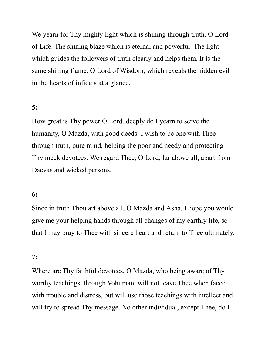We yearn for Thy mighty light which is shining through truth, O Lord of Life. The shining blaze which is eternal and powerful. The light which guides the followers of truth clearly and helps them. It is the same shining flame, O Lord of Wisdom, which reveals the hidden evil in the hearts of infidels at a glance.

## 5:

How great is Thy power O Lord, deeply do I yearn to serve the humanity, O Mazda, with good deeds. I wish to be one with Thee through truth, pure mind, helping the poor and needy and protecting Thy meek devotees. We regard Thee, O Lord, far above all, apart from Daevas and wicked persons.

### 6:

Since in truth Thou art above all, O Mazda and Asha, I hope you would give me your helping hands through all changes of my earthly life, so that I may pray to Thee with sincere heart and return to Thee ultimately.

#### 7:

Where are Thy faithful devotees, O Mazda, who being aware of Thy worthy teachings, through Vohuman, will not leave Thee when faced with trouble and distress, but will use those teachings with intellect and will try to spread Thy message. No other individual, except Thee, do I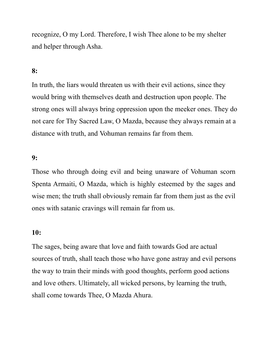recognize, O my Lord. Therefore, I wish Thee alone to be my shelter and helper through Asha.

# 8:

In truth, the liars would threaten us with their evil actions, since they would bring with themselves death and destruction upon people. The strong ones will always bring oppression upon the meeker ones. They do not care for Thy Sacred Law, O Mazda, because they always remain at a distance with truth, and Vohuman remains far from them.

#### 9:

Those who through doing evil and being unaware of Vohuman scorn Spenta Armaiti, O Mazda, which is highly esteemed by the sages and wise men; the truth shall obviously remain far from them just as the evil ones with satanic cravings will remain far from us.

### 10:

The sages, being aware that love and faith towards God are actual sources of truth, shall teach those who have gone astray and evil persons the way to train their minds with good thoughts, perform good actions and love others. Ultimately, all wicked persons, by learning the truth, shall come towards Thee, O Mazda Ahura.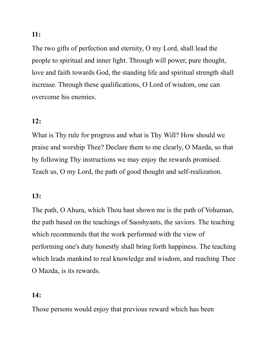11:

The two gifts of perfection and eternity, O my Lord, shall lead the people to spiritual and inner light. Through will power, pure thought, love and faith towards God, the standing life and spiritual strength shall increase. Through these qualifications, O Lord of wisdom, one can overcome his enemies.

# 12:

What is Thy rule for progress and what is Thy Will? How should we praise and worship Thee? Declare them to me clearly, O Mazda, so that by following Thy instructions we may enjoy the rewards promised. Teach us, O my Lord, the path of good thought and self-realization.

# 13:

The path, O Ahura, which Thou hast shown me is the path of Vohuman, the path based on the teachings of Saoshyants, the saviors. The teaching which recommends that the work performed with the view of performing one's duty honestly shall bring forth happiness. The teaching which leads mankind to real knowledge and wisdom, and reaching Thee O Mazda, is its rewards.

## 14:

Those persons would enjoy that previous reward which has been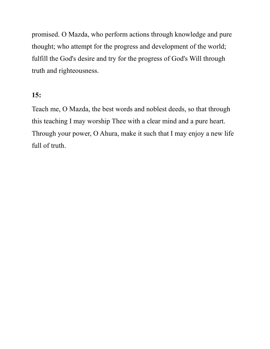promised. O Mazda, who perform actions through knowledge and pure thought; who attempt for the progress and development of the world; fulfill the God's desire and try for the progress of God's Will through truth and righteousness.

# 15:

Teach me, O Mazda, the best words and noblest deeds, so that through this teaching I may worship Thee with a clear mind and a pure heart. Through your power, O Ahura, make it such that I may enjoy a new life full of truth.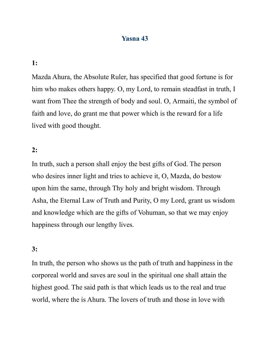## Yasna 43

#### 1:

Mazda Ahura, the Absolute Ruler, has specified that good fortune is for him who makes others happy. O, my Lord, to remain steadfast in truth, I want from Thee the strength of body and soul. O, Armaiti, the symbol of faith and love, do grant me that power which is the reward for a life lived with good thought.

#### 2:

In truth, such a person shall enjoy the best gifts of God. The person who desires inner light and tries to achieve it, O, Mazda, do bestow upon him the same, through Thy holy and bright wisdom. Through Asha, the Eternal Law of Truth and Purity, O my Lord, grant us wisdom and knowledge which are the gifts of Vohuman, so that we may enjoy happiness through our lengthy lives.

#### 3:

In truth, the person who shows us the path of truth and happiness in the corporeal world and saves are soul in the spiritual one shall attain the highest good. The said path is that which leads us to the real and true world, where the is Ahura. The lovers of truth and those in love with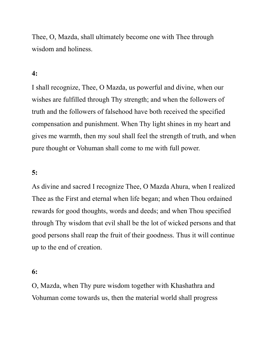Thee, O, Mazda, shall ultimately become one with Thee through wisdom and holiness.

# 4:

I shall recognize, Thee, O Mazda, us powerful and divine, when our wishes are fulfilled through Thy strength; and when the followers of truth and the followers of falsehood have both received the specified compensation and punishment. When Thy light shines in my heart and gives me warmth, then my soul shall feel the strength of truth, and when pure thought or Vohuman shall come to me with full power.

## 5:

As divine and sacred I recognize Thee, O Mazda Ahura, when I realized Thee as the First and eternal when life began; and when Thou ordained rewards for good thoughts, words and deeds; and when Thou specified through Thy wisdom that evil shall be the lot of wicked persons and that good persons shall reap the fruit of their goodness. Thus it will continue up to the end of creation.

### 6:

O, Mazda, when Thy pure wisdom together with Khashathra and Vohuman come towards us, then the material world shall progress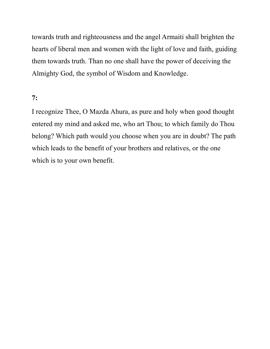towards truth and righteousness and the angel Armaiti shall brighten the hearts of liberal men and women with the light of love and faith, guiding them towards truth. Than no one shall have the power of deceiving the Almighty God, the symbol of Wisdom and Knowledge.

## 7:

I recognize Thee, O Mazda Ahura, as pure and holy when good thought entered my mind and asked me, who art Thou; to which family do Thou belong? Which path would you choose when you are in doubt? The path which leads to the benefit of your brothers and relatives, or the one which is to your own benefit.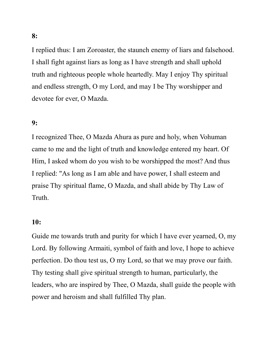I replied thus: I am Zoroaster, the staunch enemy of liars and falsehood.

I shall fight against liars as long as I have strength and shall uphold truth and righteous people whole heartedly. May I enjoy Thy spiritual and endless strength, O my Lord, and may I be Thy worshipper and devotee for ever, O Mazda.

# 9:

I recognized Thee, O Mazda Ahura as pure and holy, when Vohuman came to me and the light of truth and knowledge entered my heart. Of Him, I asked whom do you wish to be worshipped the most? And thus I replied: "As long as I am able and have power, I shall esteem and praise Thy spiritual flame, O Mazda, and shall abide by Thy Law of Truth.

## 10:

Guide me towards truth and purity for which I have ever yearned, O, my Lord. By following Armaiti, symbol of faith and love, I hope to achieve perfection. Do thou test us, O my Lord, so that we may prove our faith. Thy testing shall give spiritual strength to human, particularly, the leaders, who are inspired by Thee, O Mazda, shall guide the people with power and heroism and shall fulfilled Thy plan.

8: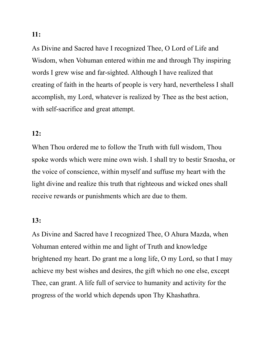As Divine and Sacred have I recognized Thee, O Lord of Life and Wisdom, when Vohuman entered within me and through Thy inspiring words I grew wise and far-sighted. Although I have realized that creating of faith in the hearts of people is very hard, nevertheless I shall accomplish, my Lord, whatever is realized by Thee as the best action, with self-sacrifice and great attempt.

## 12:

When Thou ordered me to follow the Truth with full wisdom, Thou spoke words which were mine own wish. I shall try to bestir Sraosha, or the voice of conscience, within myself and suffuse my heart with the light divine and realize this truth that righteous and wicked ones shall receive rewards or punishments which are due to them.

### 13:

As Divine and Sacred have I recognized Thee, O Ahura Mazda, when Vohuman entered within me and light of Truth and knowledge brightened my heart. Do grant me a long life, O my Lord, so that I may achieve my best wishes and desires, the gift which no one else, except Thee, can grant. A life full of service to humanity and activity for the progress of the world which depends upon Thy Khashathra.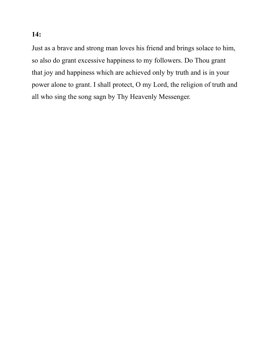Just as a brave and strong man loves his friend and brings solace to him, so also do grant excessive happiness to my followers. Do Thou grant that joy and happiness which are achieved only by truth and is in your power alone to grant. I shall protect, O my Lord, the religion of truth and all who sing the song sagn by Thy Heavenly Messenger.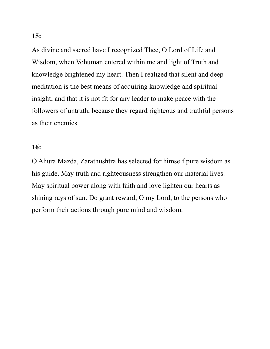As divine and sacred have I recognized Thee, O Lord of Life and Wisdom, when Vohuman entered within me and light of Truth and knowledge brightened my heart. Then I realized that silent and deep meditation is the best means of acquiring knowledge and spiritual insight; and that it is not fit for any leader to make peace with the followers of untruth, because they regard righteous and truthful persons as their enemies.

## 16:

O Ahura Mazda, Zarathushtra has selected for himself pure wisdom as his guide. May truth and righteousness strengthen our material lives. May spiritual power along with faith and love lighten our hearts as shining rays of sun. Do grant reward, O my Lord, to the persons who perform their actions through pure mind and wisdom.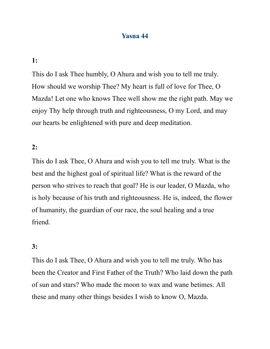## Yasna 44

### 1:

This do I ask Thee humbly, O Ahura and wish you to tell me truly. How should we worship Thee? My heart is full of love for Thee, O Mazda! Let one who knows Thee well show me the right path. May we enjoy Thy help through truth and righteousness, O my Lord, and may our hearts be enlightened with pure and deep meditation.

### 2:

This do I ask Thee, O Ahura and wish you to tell me truly. What is the best and the highest goal of spiritual life? What is the reward of the person who strives to reach that goal? He is our leader, O Mazda, who is holy because of his truth and righteousness. He is, indeed, the flower of humanity, the guardian of our race, the soul healing and a true friend.

#### 3:

This do I ask Thee, O Ahura and wish you to tell me truly. Who has been the Creator and First Father of the Truth? Who laid down the path of sun and stars? Who made the moon to wax and wane betimes. All these and many other things besides I wish to know O, Mazda.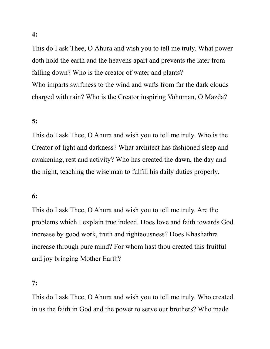This do I ask Thee, O Ahura and wish you to tell me truly. What power doth hold the earth and the heavens apart and prevents the later from falling down? Who is the creator of water and plants? Who imparts swiftness to the wind and wafts from far the dark clouds charged with rain? Who is the Creator inspiring Vohuman, O Mazda?

# 5:

This do I ask Thee, O Ahura and wish you to tell me truly. Who is the Creator of light and darkness? What architect has fashioned sleep and awakening, rest and activity? Who has created the dawn, the day and the night, teaching the wise man to fulfill his daily duties properly.

## 6:

This do I ask Thee, O Ahura and wish you to tell me truly. Are the problems which I explain true indeed. Does love and faith towards God increase by good work, truth and righteousness? Does Khashathra increase through pure mind? For whom hast thou created this fruitful and joy bringing Mother Earth?

## 7:

This do I ask Thee, O Ahura and wish you to tell me truly. Who created in us the faith in God and the power to serve our brothers? Who made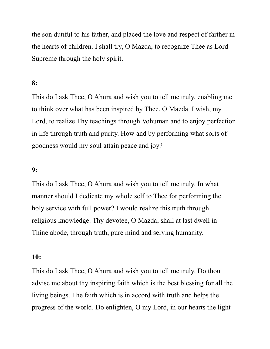the son dutiful to his father, and placed the love and respect of farther in the hearts of children. I shall try, O Mazda, to recognize Thee as Lord Supreme through the holy spirit.

# 8:

This do I ask Thee, O Ahura and wish you to tell me truly, enabling me to think over what has been inspired by Thee, O Mazda. I wish, my Lord, to realize Thy teachings through Vohuman and to enjoy perfection in life through truth and purity. How and by performing what sorts of goodness would my soul attain peace and joy?

### 9:

This do I ask Thee, O Ahura and wish you to tell me truly. In what manner should I dedicate my whole self to Thee for performing the holy service with full power? I would realize this truth through religious knowledge. Thy devotee, O Mazda, shall at last dwell in Thine abode, through truth, pure mind and serving humanity.

#### 10:

This do I ask Thee, O Ahura and wish you to tell me truly. Do thou advise me about thy inspiring faith which is the best blessing for all the living beings. The faith which is in accord with truth and helps the progress of the world. Do enlighten, O my Lord, in our hearts the light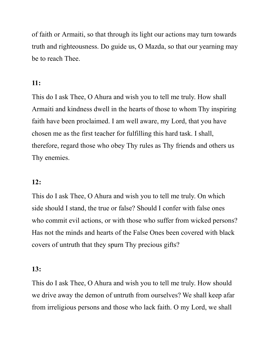of faith or Armaiti, so that through its light our actions may turn towards truth and righteousness. Do guide us, O Mazda, so that our yearning may be to reach Thee.

# 11:

This do I ask Thee, O Ahura and wish you to tell me truly. How shall Armaiti and kindness dwell in the hearts of those to whom Thy inspiring faith have been proclaimed. I am well aware, my Lord, that you have chosen me as the first teacher for fulfilling this hard task. I shall, therefore, regard those who obey Thy rules as Thy friends and others us Thy enemies.

# 12:

This do I ask Thee, O Ahura and wish you to tell me truly. On which side should I stand, the true or false? Should I confer with false ones who commit evil actions, or with those who suffer from wicked persons? Has not the minds and hearts of the False Ones been covered with black covers of untruth that they spurn Thy precious gifts?

## 13:

This do I ask Thee, O Ahura and wish you to tell me truly. How should we drive away the demon of untruth from ourselves? We shall keep afar from irreligious persons and those who lack faith. O my Lord, we shall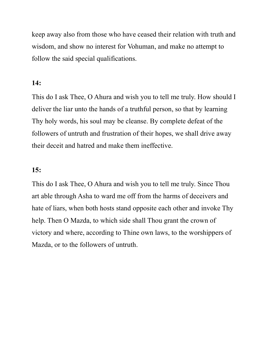keep away also from those who have ceased their relation with truth and wisdom, and show no interest for Vohuman, and make no attempt to follow the said special qualifications.

## 14:

This do I ask Thee, O Ahura and wish you to tell me truly. How should I deliver the liar unto the hands of a truthful person, so that by learning Thy holy words, his soul may be cleanse. By complete defeat of the followers of untruth and frustration of their hopes, we shall drive away their deceit and hatred and make them ineffective.

## 15:

This do I ask Thee, O Ahura and wish you to tell me truly. Since Thou art able through Asha to ward me off from the harms of deceivers and hate of liars, when both hosts stand opposite each other and invoke Thy help. Then O Mazda, to which side shall Thou grant the crown of victory and where, according to Thine own laws, to the worshippers of Mazda, or to the followers of untruth.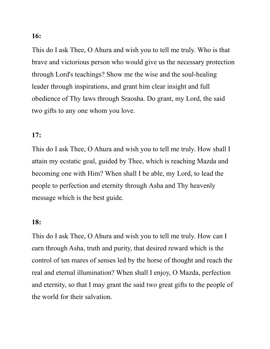This do I ask Thee, O Ahura and wish you to tell me truly. Who is that brave and victorious person who would give us the necessary protection through Lord's teachings? Show me the wise and the soul-healing leader through inspirations, and grant him clear insight and full obedience of Thy laws through Sraosha. Do grant, my Lord, the said two gifts to any one whom you love.

### 17:

This do I ask Thee, O Ahura and wish you to tell me truly. How shall I attain my ecstatic goal, guided by Thee, which is reaching Mazda and becoming one with Him? When shall I be able, my Lord, to lead the people to perfection and eternity through Asha and Thy heavenly message which is the best guide.

### 18:

This do I ask Thee, O Ahura and wish you to tell me truly. How can I earn through Asha, truth and purity, that desired reward which is the control of ten mares of senses led by the horse of thought and reach the real and eternal illumination? When shall I enjoy, O Mazda, perfection and eternity, so that I may grant the said two great gifts to the people of the world for their salvation.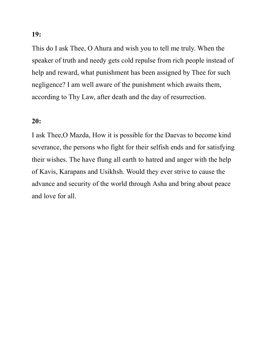This do I ask Thee, O Ahura and wish you to tell me truly. When the speaker of truth and needy gets cold repulse from rich people instead of help and reward, what punishment has been assigned by Thee for such negligence? I am well aware of the punishment which awaits them, according to Thy Law, after death and the day of resurrection.

### 20:

I ask Thee,O Mazda, How it is possible for the Daevas to become kind severance, the persons who fight for their selfish ends and for satisfying their wishes. The have flung all earth to hatred and anger with the help of Kavis, Karapans and Usikhsh. Would they ever strive to cause the advance and security of the world through Asha and bring about peace and love for all.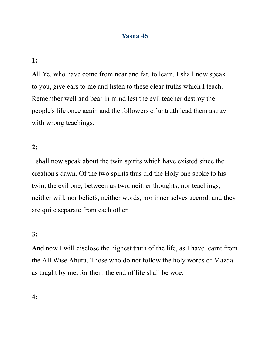# Yasna 45

1:

All Ye, who have come from near and far, to learn, I shall now speak to you, give ears to me and listen to these clear truths which I teach. Remember well and bear in mind lest the evil teacher destroy the people's life once again and the followers of untruth lead them astray with wrong teachings.

# 2:

I shall now speak about the twin spirits which have existed since the creation's dawn. Of the two spirits thus did the Holy one spoke to his twin, the evil one; between us two, neither thoughts, nor teachings, neither will, nor beliefs, neither words, nor inner selves accord, and they are quite separate from each other.

### 3:

And now I will disclose the highest truth of the life, as I have learnt from the All Wise Ahura. Those who do not follow the holy words of Mazda as taught by me, for them the end of life shall be woe.

4: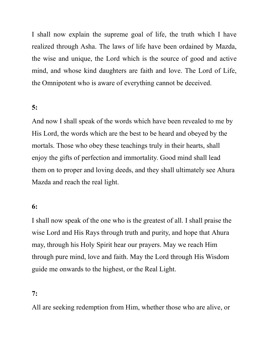I shall now explain the supreme goal of life, the truth which I have realized through Asha. The laws of life have been ordained by Mazda, the wise and unique, the Lord which is the source of good and active mind, and whose kind daughters are faith and love. The Lord of Life, the Omnipotent who is aware of everything cannot be deceived.

## 5:

And now I shall speak of the words which have been revealed to me by His Lord, the words which are the best to be heard and obeyed by the mortals. Those who obey these teachings truly in their hearts, shall enjoy the gifts of perfection and immortality. Good mind shall lead them on to proper and loving deeds, and they shall ultimately see Ahura Mazda and reach the real light.

### 6:

I shall now speak of the one who is the greatest of all. I shall praise the wise Lord and His Rays through truth and purity, and hope that Ahura may, through his Holy Spirit hear our prayers. May we reach Him through pure mind, love and faith. May the Lord through His Wisdom guide me onwards to the highest, or the Real Light.

#### 7:

All are seeking redemption from Him, whether those who are alive, or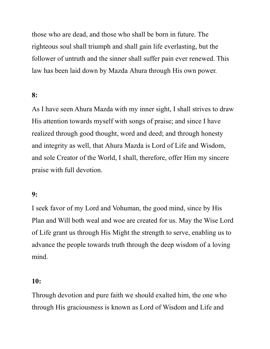those who are dead, and those who shall be born in future. The righteous soul shall triumph and shall gain life everlasting, but the follower of untruth and the sinner shall suffer pain ever renewed. This law has been laid down by Mazda Ahura through His own power.

## 8:

As I have seen Ahura Mazda with my inner sight, I shall strives to draw His attention towards myself with songs of praise; and since I have realized through good thought, word and deed; and through honesty and integrity as well, that Ahura Mazda is Lord of Life and Wisdom, and sole Creator of the World, I shall, therefore, offer Him my sincere praise with full devotion.

### 9:

I seek favor of my Lord and Vohuman, the good mind, since by His Plan and Will both weal and woe are created for us. May the Wise Lord of Life grant us through His Might the strength to serve, enabling us to advance the people towards truth through the deep wisdom of a loving mind.

#### 10:

Through devotion and pure faith we should exalted him, the one who through His graciousness is known as Lord of Wisdom and Life and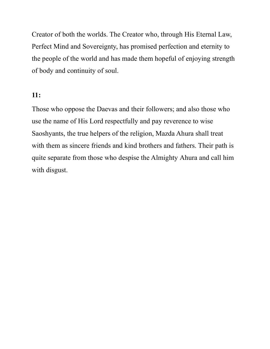Creator of both the worlds. The Creator who, through His Eternal Law, Perfect Mind and Sovereignty, has promised perfection and eternity to the people of the world and has made them hopeful of enjoying strength of body and continuity of soul.

## 11:

Those who oppose the Daevas and their followers; and also those who use the name of His Lord respectfully and pay reverence to wise Saoshyants, the true helpers of the religion, Mazda Ahura shall treat with them as sincere friends and kind brothers and fathers. Their path is quite separate from those who despise the Almighty Ahura and call him with disgust.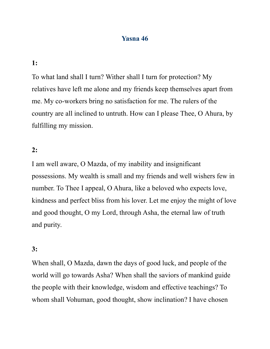## Yasna 46

#### 1:

To what land shall I turn? Wither shall I turn for protection? My relatives have left me alone and my friends keep themselves apart from me. My co-workers bring no satisfaction for me. The rulers of the country are all inclined to untruth. How can I please Thee, O Ahura, by fulfilling my mission.

#### 2:

I am well aware, O Mazda, of my inability and insignificant possessions. My wealth is small and my friends and well wishers few in number. To Thee I appeal, O Ahura, like a beloved who expects love, kindness and perfect bliss from his lover. Let me enjoy the might of love and good thought, O my Lord, through Asha, the eternal law of truth and purity.

### 3:

When shall, O Mazda, dawn the days of good luck, and people of the world will go towards Asha? When shall the saviors of mankind guide the people with their knowledge, wisdom and effective teachings? To whom shall Vohuman, good thought, show inclination? I have chosen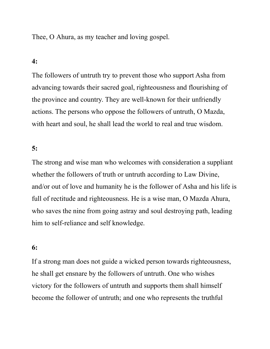Thee, O Ahura, as my teacher and loving gospel.

### 4:

The followers of untruth try to prevent those who support Asha from advancing towards their sacred goal, righteousness and flourishing of the province and country. They are well-known for their unfriendly actions. The persons who oppose the followers of untruth, O Mazda, with heart and soul, he shall lead the world to real and true wisdom.

### 5:

The strong and wise man who welcomes with consideration a suppliant whether the followers of truth or untruth according to Law Divine, and/or out of love and humanity he is the follower of Asha and his life is full of rectitude and righteousness. He is a wise man, O Mazda Ahura, who saves the nine from going astray and soul destroying path, leading him to self-reliance and self knowledge.

### 6:

If a strong man does not guide a wicked person towards righteousness, he shall get ensnare by the followers of untruth. One who wishes victory for the followers of untruth and supports them shall himself become the follower of untruth; and one who represents the truthful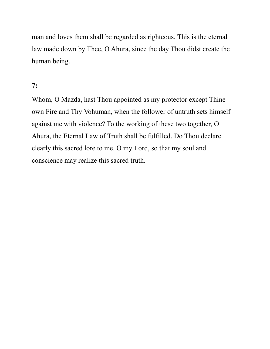man and loves them shall be regarded as righteous. This is the eternal law made down by Thee, O Ahura, since the day Thou didst create the human being.

# 7:

Whom, O Mazda, hast Thou appointed as my protector except Thine own Fire and Thy Vohuman, when the follower of untruth sets himself against me with violence? To the working of these two together, O Ahura, the Eternal Law of Truth shall be fulfilled. Do Thou declare clearly this sacred lore to me. O my Lord, so that my soul and conscience may realize this sacred truth.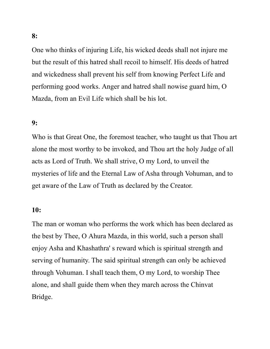One who thinks of injuring Life, his wicked deeds shall not injure me but the result of this hatred shall recoil to himself. His deeds of hatred and wickedness shall prevent his self from knowing Perfect Life and performing good works. Anger and hatred shall nowise guard him, O Mazda, from an Evil Life which shall be his lot.

#### 9:

Who is that Great One, the foremost teacher, who taught us that Thou art alone the most worthy to be invoked, and Thou art the holy Judge of all acts as Lord of Truth. We shall strive, O my Lord, to unveil the mysteries of life and the Eternal Law of Asha through Vohuman, and to get aware of the Law of Truth as declared by the Creator.

### 10:

The man or woman who performs the work which has been declared as the best by Thee, O Ahura Mazda, in this world, such a person shall enjoy Asha and Khashathra' s reward which is spiritual strength and serving of humanity. The said spiritual strength can only be achieved through Vohuman. I shall teach them, O my Lord, to worship Thee alone, and shall guide them when they march across the Chinvat Bridge.

8: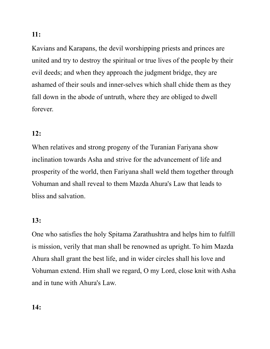Kavians and Karapans, the devil worshipping priests and princes are united and try to destroy the spiritual or true lives of the people by their evil deeds; and when they approach the judgment bridge, they are ashamed of their souls and inner-selves which shall chide them as they fall down in the abode of untruth, where they are obliged to dwell forever.

# 12:

When relatives and strong progeny of the Turanian Fariyana show inclination towards Asha and strive for the advancement of life and prosperity of the world, then Fariyana shall weld them together through Vohuman and shall reveal to them Mazda Ahura's Law that leads to bliss and salvation.

# 13:

One who satisfies the holy Spitama Zarathushtra and helps him to fulfill is mission, verily that man shall be renowned as upright. To him Mazda Ahura shall grant the best life, and in wider circles shall his love and Vohuman extend. Him shall we regard, O my Lord, close knit with Asha and in tune with Ahura's Law.

# 14: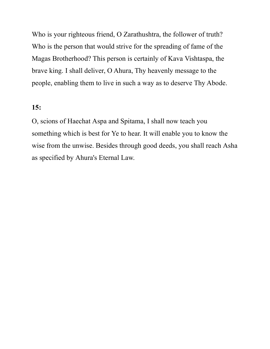Who is your righteous friend, O Zarathushtra, the follower of truth? Who is the person that would strive for the spreading of fame of the Magas Brotherhood? This person is certainly of Kava Vishtaspa, the brave king. I shall deliver, O Ahura, Thy heavenly message to the people, enabling them to live in such a way as to deserve Thy Abode.

## 15:

O, scions of Haechat Aspa and Spitama, I shall now teach you something which is best for Ye to hear. It will enable you to know the wise from the unwise. Besides through good deeds, you shall reach Asha as specified by Ahura's Eternal Law.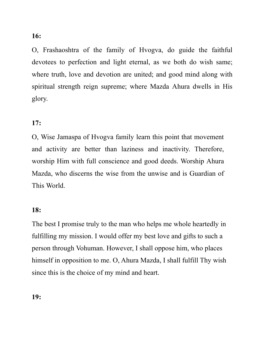O, Frashaoshtra of the family of Hvogva, do guide the faithful devotees to perfection and light eternal, as we both do wish same; where truth, love and devotion are united; and good mind along with spiritual strength reign supreme; where Mazda Ahura dwells in His glory.

# 17:

O, Wise Jamaspa of Hvogva family learn this point that movement and activity are better than laziness and inactivity. Therefore, worship Him with full conscience and good deeds. Worship Ahura Mazda, who discerns the wise from the unwise and is Guardian of This World.

## 18:

The best I promise truly to the man who helps me whole heartedly in fulfilling my mission. I would offer my best love and gifts to such a person through Vohuman. However, I shall oppose him, who places himself in opposition to me. O, Ahura Mazda, I shall fulfill Thy wish since this is the choice of my mind and heart.

19: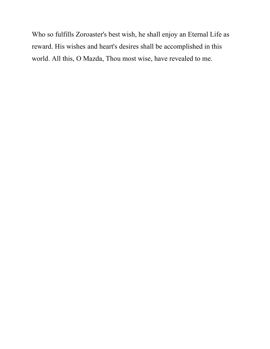Who so fulfills Zoroaster's best wish, he shall enjoy an Eternal Life as reward. His wishes and heart's desires shall be accomplished in this world. All this, O Mazda, Thou most wise, have revealed to me.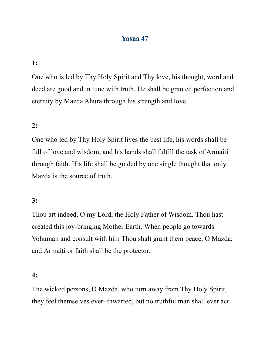# Yasna 47

# 1:

One who is led by Thy Holy Spirit and Thy love, his thought, word and deed are good and in tune with truth. He shall be granted perfection and eternity by Mazda Ahura through his strength and love.

# 2:

One who led by Thy Holy Spirit lives the best life, his words shall be full of love and wisdom, and his hands shall fulfill the task of Armaiti through faith. His life shall be guided by one single thought that only Mazda is the source of truth.

# 3:

Thou art indeed, O my Lord, the Holy Father of Wisdom. Thou hast created this joy-bringing Mother Earth. When people go towards Vohuman and consult with him Thou shalt grant them peace, O Mazda; and Armaiti or faith shall be the protector.

#### 4:

The wicked persons, O Mazda, who turn away from Thy Holy Spirit, they feel themselves ever- thwarted, but no truthful man shall ever act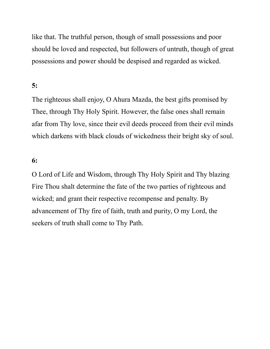like that. The truthful person, though of small possessions and poor should be loved and respected, but followers of untruth, though of great possessions and power should be despised and regarded as wicked.

## 5:

The righteous shall enjoy, O Ahura Mazda, the best gifts promised by Thee, through Thy Holy Spirit. However, the false ones shall remain afar from Thy love, since their evil deeds proceed from their evil minds which darkens with black clouds of wickedness their bright sky of soul.

## 6:

O Lord of Life and Wisdom, through Thy Holy Spirit and Thy blazing Fire Thou shalt determine the fate of the two parties of righteous and wicked; and grant their respective recompense and penalty. By advancement of Thy fire of faith, truth and purity, O my Lord, the seekers of truth shall come to Thy Path.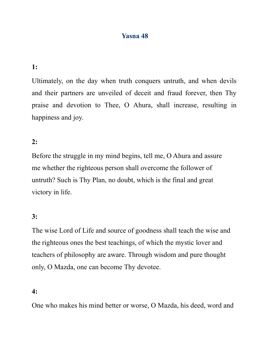# Yasna 48

# 1:

Ultimately, on the day when truth conquers untruth, and when devils and their partners are unveiled of deceit and fraud forever, then Thy praise and devotion to Thee, O Ahura, shall increase, resulting in happiness and joy.

## 2:

Before the struggle in my mind begins, tell me, O Ahura and assure me whether the righteous person shall overcome the follower of untruth? Such is Thy Plan, no doubt, which is the final and great victory in life.

## 3:

The wise Lord of Life and source of goodness shall teach the wise and the righteous ones the best teachings, of which the mystic lover and teachers of philosophy are aware. Through wisdom and pure thought only, O Mazda, one can become Thy devotee.

### 4:

One who makes his mind better or worse, O Mazda, his deed, word and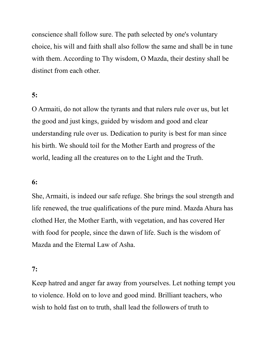conscience shall follow sure. The path selected by one's voluntary choice, his will and faith shall also follow the same and shall be in tune with them. According to Thy wisdom, O Mazda, their destiny shall be distinct from each other.

# 5:

O Armaiti, do not allow the tyrants and that rulers rule over us, but let the good and just kings, guided by wisdom and good and clear understanding rule over us. Dedication to purity is best for man since his birth. We should toil for the Mother Earth and progress of the world, leading all the creatures on to the Light and the Truth.

## 6:

She, Armaiti, is indeed our safe refuge. She brings the soul strength and life renewed, the true qualifications of the pure mind. Mazda Ahura has clothed Her, the Mother Earth, with vegetation, and has covered Her with food for people, since the dawn of life. Such is the wisdom of Mazda and the Eternal Law of Asha.

#### 7:

Keep hatred and anger far away from yourselves. Let nothing tempt you to violence. Hold on to love and good mind. Brilliant teachers, who wish to hold fast on to truth, shall lead the followers of truth to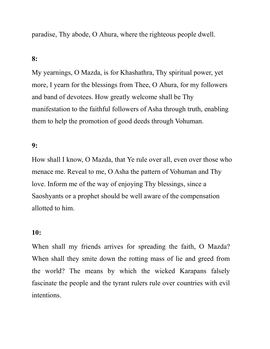paradise, Thy abode, O Ahura, where the righteous people dwell.

# 8:

My yearnings, O Mazda, is for Khashathra, Thy spiritual power, yet more, I yearn for the blessings from Thee, O Ahura, for my followers and band of devotees. How greatly welcome shall be Thy manifestation to the faithful followers of Asha through truth, enabling them to help the promotion of good deeds through Vohuman.

### 9:

How shall I know, O Mazda, that Ye rule over all, even over those who menace me. Reveal to me, O Asha the pattern of Vohuman and Thy love. Inform me of the way of enjoying Thy blessings, since a Saoshyants or a prophet should be well aware of the compensation allotted to him.

### 10:

When shall my friends arrives for spreading the faith, O Mazda? When shall they smite down the rotting mass of lie and greed from the world? The means by which the wicked Karapans falsely fascinate the people and the tyrant rulers rule over countries with evil intentions.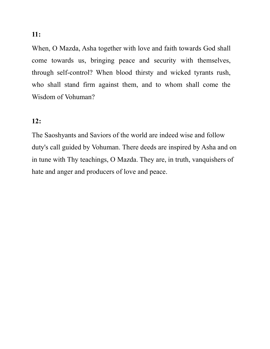When, O Mazda, Asha together with love and faith towards God shall come towards us, bringing peace and security with themselves, through self-control? When blood thirsty and wicked tyrants rush, who shall stand firm against them, and to whom shall come the

### 12:

Wisdom of Vohuman?

The Saoshyants and Saviors of the world are indeed wise and follow duty's call guided by Vohuman. There deeds are inspired by Asha and on in tune with Thy teachings, O Mazda. They are, in truth, vanquishers of hate and anger and producers of love and peace.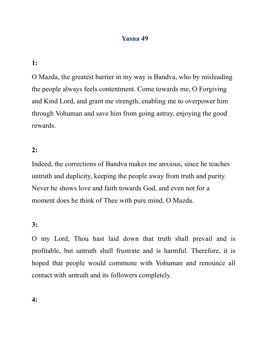# Yasna 49

1:

O Mazda, the greatest barrier in my way is Bandva, who by misleading the people always feels contentment. Come towards me, O Forgiving and Kind Lord, and grant me strength, enabling me to overpower him through Vohuman and save him from going astray, enjoying the good rewards.

## 2:

Indeed, the corrections of Bandva makes me anxious, since he teaches untruth and duplicity, keeping the people away from truth and purity. Never he shows love and faith towards God, and even not for a moment does he think of Thee with pure mind, O Mazda.

## 3:

O my Lord, Thou hast laid down that truth shall prevail and is profitable, but untruth shall frustrate and is harmful. Therefore, it is hoped that people would commune with Vohuman and renounce all contact with untruth and its followers completely.

4: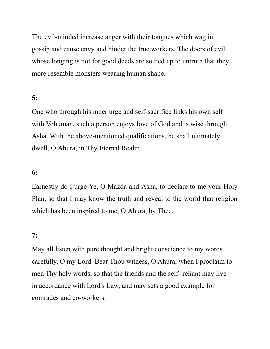The evil-minded increase anger with their tongues which wag in gossip and cause envy and hinder the true workers. The doers of evil whose longing is not for good deeds are so tied up to untruth that they more resemble monsters wearing human shape.

# 5:

One who through his inner urge and self-sacrifice links his own self with Vohuman, such a person enjoys love of God and is wise through Asha. With the above-mentioned qualifications, he shall ultimately dwell, O Ahura, in Thy Eternal Realm.

## 6:

Earnestly do I urge Ye, O Mazda and Asha, to declare to me your Holy Plan, so that I may know the truth and reveal to the world that religion which has been inspired to me, O Ahura, by Thee.

#### 7:

May all listen with pure thought and bright conscience to my words carefully, O my Lord. Bear Thou witness, O Ahura, when I proclaim to men Thy holy words, so that the friends and the self- reliant may live in accordance with Lord's Law, and may sets a good example for comrades and co-workers.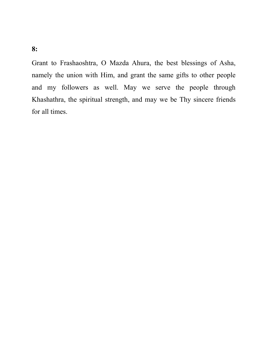Grant to Frashaoshtra, O Mazda Ahura, the best blessings of Asha, namely the union with Him, and grant the same gifts to other people and my followers as well. May we serve the people through Khashathra, the spiritual strength, and may we be Thy sincere friends for all times.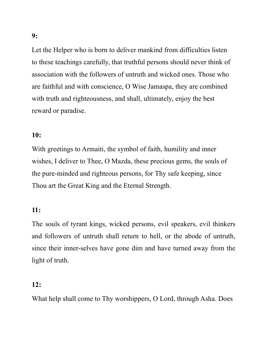9:

Let the Helper who is born to deliver mankind from difficulties listen to these teachings carefully, that truthful persons should never think of association with the followers of untruth and wicked ones. Those who are faithful and with conscience, O Wise Jamaspa, they are combined with truth and righteousness, and shall, ultimately, enjoy the best reward or paradise.

## 10:

With greetings to Armaiti, the symbol of faith, humility and inner wishes, I deliver to Thee, O Mazda, these precious gems, the souls of the pure-minded and righteous persons, for Thy safe keeping, since Thou art the Great King and the Eternal Strength.

### 11:

The souls of tyrant kings, wicked persons, evil speakers, evil thinkers and followers of untruth shall return to hell, or the abode of untruth, since their inner-selves have gone dim and have turned away from the light of truth.

## 12:

What help shall come to Thy worshippers, O Lord, through Asha. Does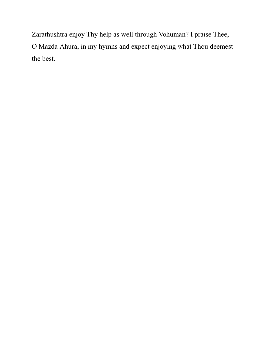Zarathushtra enjoy Thy help as well through Vohuman? I praise Thee, O Mazda Ahura, in my hymns and expect enjoying what Thou deemest the best.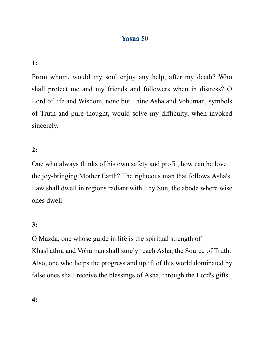# Yasna 50

## 1:

From whom, would my soul enjoy any help, after my death? Who shall protect me and my friends and followers when in distress? O Lord of life and Wisdom, none but Thine Asha and Vohuman, symbols of Truth and pure thought, would solve my difficulty, when invoked sincerely.

### 2:

One who always thinks of his own safety and profit, how can he love the joy-bringing Mother Earth? The righteous man that follows Asha's Law shall dwell in regions radiant with Thy Sun, the abode where wise ones dwell.

### 3:

O Mazda, one whose guide in life is the spiritual strength of Khashathra and Vohuman shall surely reach Asha, the Source of Truth. Also, one who helps the progress and uplift of this world dominated by false ones shall receive the blessings of Asha, through the Lord's gifts.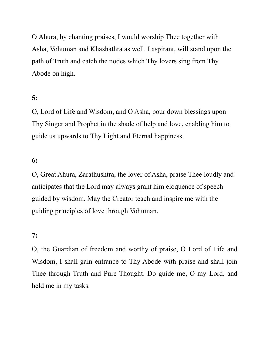O Ahura, by chanting praises, I would worship Thee together with Asha, Vohuman and Khashathra as well. I aspirant, will stand upon the path of Truth and catch the nodes which Thy lovers sing from Thy Abode on high.

## 5:

O, Lord of Life and Wisdom, and O Asha, pour down blessings upon Thy Singer and Prophet in the shade of help and love, enabling him to guide us upwards to Thy Light and Eternal happiness.

### 6:

O, Great Ahura, Zarathushtra, the lover of Asha, praise Thee loudly and anticipates that the Lord may always grant him eloquence of speech guided by wisdom. May the Creator teach and inspire me with the guiding principles of love through Vohuman.

#### 7:

O, the Guardian of freedom and worthy of praise, O Lord of Life and Wisdom, I shall gain entrance to Thy Abode with praise and shall join Thee through Truth and Pure Thought. Do guide me, O my Lord, and held me in my tasks.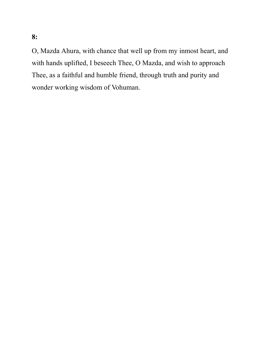O, Mazda Ahura, with chance that well up from my inmost heart, and with hands uplifted, I beseech Thee, O Mazda, and wish to approach Thee, as a faithful and humble friend, through truth and purity and wonder working wisdom of Vohuman.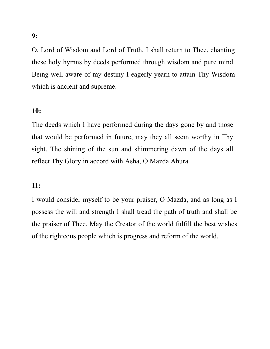O, Lord of Wisdom and Lord of Truth, I shall return to Thee, chanting these holy hymns by deeds performed through wisdom and pure mind. Being well aware of my destiny I eagerly yearn to attain Thy Wisdom which is ancient and supreme.

## 10:

The deeds which I have performed during the days gone by and those that would be performed in future, may they all seem worthy in Thy sight. The shining of the sun and shimmering dawn of the days all reflect Thy Glory in accord with Asha, O Mazda Ahura.

### 11:

I would consider myself to be your praiser, O Mazda, and as long as I possess the will and strength I shall tread the path of truth and shall be the praiser of Thee. May the Creator of the world fulfill the best wishes of the righteous people which is progress and reform of the world.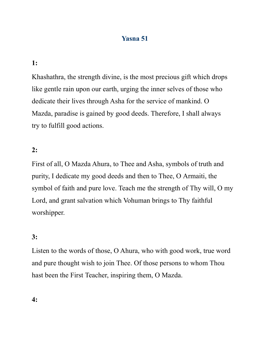# Yasna 51

## 1:

Khashathra, the strength divine, is the most precious gift which drops like gentle rain upon our earth, urging the inner selves of those who dedicate their lives through Asha for the service of mankind. O Mazda, paradise is gained by good deeds. Therefore, I shall always try to fulfill good actions.

### 2:

First of all, O Mazda Ahura, to Thee and Asha, symbols of truth and purity, I dedicate my good deeds and then to Thee, O Armaiti, the symbol of faith and pure love. Teach me the strength of Thy will, O my Lord, and grant salvation which Vohuman brings to Thy faithful worshipper.

### 3:

Listen to the words of those, O Ahura, who with good work, true word and pure thought wish to join Thee. Of those persons to whom Thou hast been the First Teacher, inspiring them, O Mazda.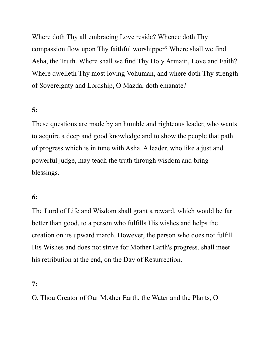Where doth Thy all embracing Love reside? Whence doth Thy compassion flow upon Thy faithful worshipper? Where shall we find Asha, the Truth. Where shall we find Thy Holy Armaiti, Love and Faith? Where dwelleth Thy most loving Vohuman, and where doth Thy strength of Sovereignty and Lordship, O Mazda, doth emanate?

## 5:

These questions are made by an humble and righteous leader, who wants to acquire a deep and good knowledge and to show the people that path of progress which is in tune with Asha. A leader, who like a just and powerful judge, may teach the truth through wisdom and bring blessings.

#### 6:

The Lord of Life and Wisdom shall grant a reward, which would be far better than good, to a person who fulfills His wishes and helps the creation on its upward march. However, the person who does not fulfill His Wishes and does not strive for Mother Earth's progress, shall meet his retribution at the end, on the Day of Resurrection.

#### 7:

O, Thou Creator of Our Mother Earth, the Water and the Plants, O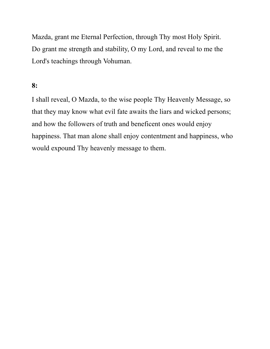Mazda, grant me Eternal Perfection, through Thy most Holy Spirit. Do grant me strength and stability, O my Lord, and reveal to me the Lord's teachings through Vohuman.

## 8:

I shall reveal, O Mazda, to the wise people Thy Heavenly Message, so that they may know what evil fate awaits the liars and wicked persons; and how the followers of truth and beneficent ones would enjoy happiness. That man alone shall enjoy contentment and happiness, who would expound Thy heavenly message to them.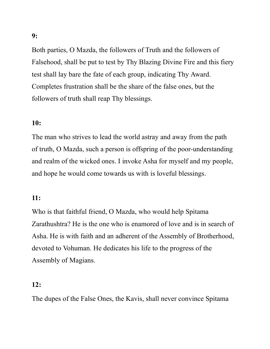Both parties, O Mazda, the followers of Truth and the followers of Falsehood, shall be put to test by Thy Blazing Divine Fire and this fiery test shall lay bare the fate of each group, indicating Thy Award. Completes frustration shall be the share of the false ones, but the followers of truth shall reap Thy blessings.

## 10:

The man who strives to lead the world astray and away from the path of truth, O Mazda, such a person is offspring of the poor-understanding and realm of the wicked ones. I invoke Asha for myself and my people, and hope he would come towards us with is loveful blessings.

### 11:

Who is that faithful friend, O Mazda, who would help Spitama Zarathushtra? He is the one who is enamored of love and is in search of Asha. He is with faith and an adherent of the Assembly of Brotherhood, devoted to Vohuman. He dedicates his life to the progress of the Assembly of Magians.

## 12:

The dupes of the False Ones, the Kavis, shall never convince Spitama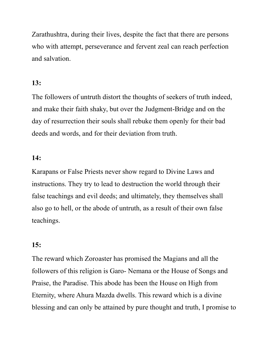Zarathushtra, during their lives, despite the fact that there are persons who with attempt, perseverance and fervent zeal can reach perfection and salvation.

## 13:

The followers of untruth distort the thoughts of seekers of truth indeed, and make their faith shaky, but over the Judgment-Bridge and on the day of resurrection their souls shall rebuke them openly for their bad deeds and words, and for their deviation from truth.

### 14:

Karapans or False Priests never show regard to Divine Laws and instructions. They try to lead to destruction the world through their false teachings and evil deeds; and ultimately, they themselves shall also go to hell, or the abode of untruth, as a result of their own false teachings.

#### 15:

The reward which Zoroaster has promised the Magians and all the followers of this religion is Garo- Nemana or the House of Songs and Praise, the Paradise. This abode has been the House on High from Eternity, where Ahura Mazda dwells. This reward which is a divine blessing and can only be attained by pure thought and truth, I promise to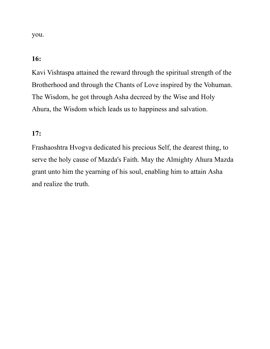you.

## 16:

Kavi Vishtaspa attained the reward through the spiritual strength of the Brotherhood and through the Chants of Love inspired by the Vohuman. The Wisdom, he got through Asha decreed by the Wise and Holy Ahura, the Wisdom which leads us to happiness and salvation.

## 17:

Frashaoshtra Hvogva dedicated his precious Self, the dearest thing, to serve the holy cause of Mazda's Faith. May the Almighty Ahura Mazda grant unto him the yearning of his soul, enabling him to attain Asha and realize the truth.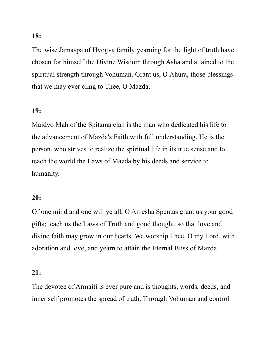The wise Jamaspa of Hvogva family yearning for the light of truth have chosen for himself the Divine Wisdom through Asha and attained to the spiritual strength through Vohuman. Grant us, O Ahura, those blessings that we may ever cling to Thee, O Mazda.

### 19:

Maidyo Mah of the Spitama clan is the man who dedicated his life to the advancement of Mazda's Faith with full understanding. He is the person, who strives to realize the spiritual life in its true sense and to teach the world the Laws of Mazda by his deeds and service to humanity.

### 20:

Of one mind and one will ye all, O Amesha Spentas grant us your good gifts; teach us the Laws of Truth and good thought, so that love and divine faith may grow in our hearts. We worship Thee, O my Lord, with adoration and love, and yearn to attain the Eternal Bliss of Mazda.

### 21:

The devotee of Armaiti is ever pure and is thoughts, words, deeds, and inner self promotes the spread of truth. Through Vohuman and control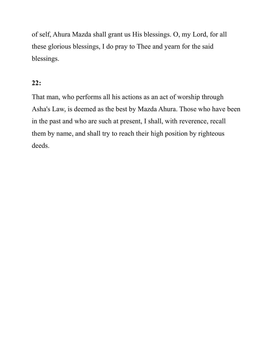of self, Ahura Mazda shall grant us His blessings. O, my Lord, for all these glorious blessings, I do pray to Thee and yearn for the said blessings.

## 22:

That man, who performs all his actions as an act of worship through Asha's Law, is deemed as the best by Mazda Ahura. Those who have been in the past and who are such at present, I shall, with reverence, recall them by name, and shall try to reach their high position by righteous deeds.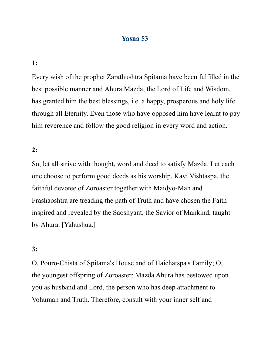## Yasna 53

#### 1:

Every wish of the prophet Zarathushtra Spitama have been fulfilled in the best possible manner and Ahura Mazda, the Lord of Life and Wisdom, has granted him the best blessings, i.e. a happy, prosperous and holy life through all Eternity. Even those who have opposed him have learnt to pay him reverence and follow the good religion in every word and action.

#### 2:

So, let all strive with thought, word and deed to satisfy Mazda. Let each one choose to perform good deeds as his worship. Kavi Vishtaspa, the faithful devotee of Zoroaster together with Maidyo-Mah and Frashaoshtra are treading the path of Truth and have chosen the Faith inspired and revealed by the Saoshyant, the Savior of Mankind, taught by Ahura. [Yahushua.]

#### 3:

O, Pouro-Chista of Spitama's House and of Haichatspa's Family; O, the youngest offspring of Zoroaster; Mazda Ahura has bestowed upon you as husband and Lord, the person who has deep attachment to Vohuman and Truth. Therefore, consult with your inner self and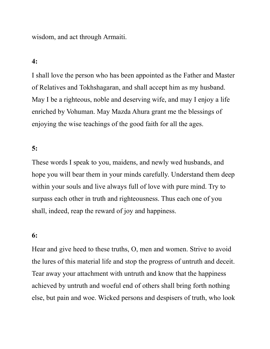wisdom, and act through Armaiti.

#### 4:

I shall love the person who has been appointed as the Father and Master of Relatives and Tokhshagaran, and shall accept him as my husband. May I be a righteous, noble and deserving wife, and may I enjoy a life enriched by Vohuman. May Mazda Ahura grant me the blessings of enjoying the wise teachings of the good faith for all the ages.

#### 5:

These words I speak to you, maidens, and newly wed husbands, and hope you will bear them in your minds carefully. Understand them deep within your souls and live always full of love with pure mind. Try to surpass each other in truth and righteousness. Thus each one of you shall, indeed, reap the reward of joy and happiness.

#### 6:

Hear and give heed to these truths, O, men and women. Strive to avoid the lures of this material life and stop the progress of untruth and deceit. Tear away your attachment with untruth and know that the happiness achieved by untruth and woeful end of others shall bring forth nothing else, but pain and woe. Wicked persons and despisers of truth, who look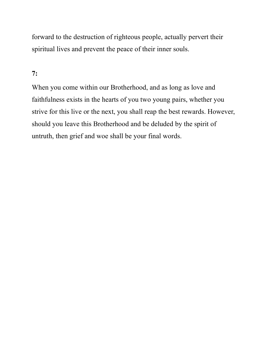forward to the destruction of righteous people, actually pervert their spiritual lives and prevent the peace of their inner souls.

## 7:

When you come within our Brotherhood, and as long as love and faithfulness exists in the hearts of you two young pairs, whether you strive for this live or the next, you shall reap the best rewards. However, should you leave this Brotherhood and be deluded by the spirit of untruth, then grief and woe shall be your final words.